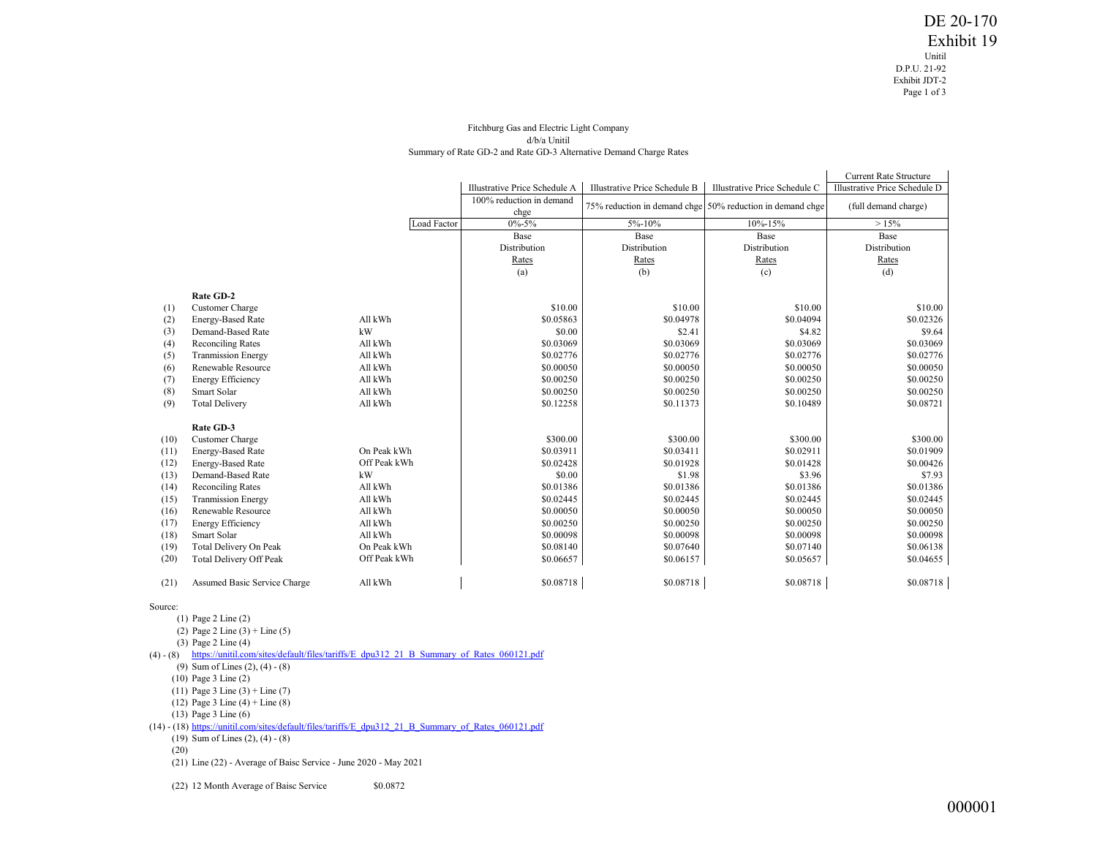## Fitchburg Gas and Electric Light Company d/b/a Unitil Summary of Rate GD-2 and Rate GD-3 Alternative Demand Charge Rates

|      |                              |              |                                  |                                      |                                                           | <b>Current Rate Structure</b>                         |  |
|------|------------------------------|--------------|----------------------------------|--------------------------------------|-----------------------------------------------------------|-------------------------------------------------------|--|
|      |                              |              | Illustrative Price Schedule A    | <b>Illustrative Price Schedule B</b> | Illustrative Price Schedule C                             | Illustrative Price Schedule D<br>(full demand charge) |  |
|      |                              |              | 100% reduction in demand<br>chge |                                      | 75% reduction in demand chge 50% reduction in demand chge |                                                       |  |
|      |                              | Load Factor  | $0\% - 5\%$                      | 5%-10%                               | 10%-15%                                                   | >15%                                                  |  |
|      |                              |              | Base                             | Base                                 | Base                                                      | Base                                                  |  |
|      |                              |              | Distribution                     | Distribution                         | Distribution                                              | Distribution                                          |  |
|      |                              |              | Rates                            | Rates                                | Rates                                                     | Rates                                                 |  |
|      |                              |              | (a)                              | (b)                                  | (c)                                                       | (d)                                                   |  |
|      | Rate GD-2                    |              |                                  |                                      |                                                           |                                                       |  |
| (1)  | Customer Charge              |              | \$10.00                          | \$10.00                              | \$10.00                                                   | \$10.00                                               |  |
| (2)  | <b>Energy-Based Rate</b>     | All kWh      | \$0.05863                        | \$0.04978                            | \$0.04094                                                 | \$0.02326                                             |  |
| (3)  | Demand-Based Rate            | kW           | \$0.00                           | \$2.41                               | \$4.82                                                    | \$9.64                                                |  |
| (4)  | <b>Reconciling Rates</b>     | All kWh      | \$0.03069                        | \$0.03069                            | \$0.03069                                                 | \$0.03069                                             |  |
| (5)  | <b>Tranmission Energy</b>    | All kWh      | \$0.02776                        | \$0.02776                            | \$0.02776                                                 | \$0.02776                                             |  |
| (6)  | Renewable Resource           | All kWh      | \$0.00050                        | \$0.00050                            | \$0.00050                                                 | \$0.00050                                             |  |
| (7)  | <b>Energy Efficiency</b>     | All kWh      | \$0.00250                        | \$0.00250                            | \$0.00250                                                 | \$0.00250                                             |  |
| (8)  | Smart Solar                  | All kWh      | \$0.00250                        | \$0.00250                            | \$0.00250                                                 | \$0.00250                                             |  |
| (9)  | <b>Total Delivery</b>        | All kWh      | \$0.12258                        | \$0.11373                            | \$0.10489                                                 | \$0.08721                                             |  |
|      | Rate GD-3                    |              |                                  |                                      |                                                           |                                                       |  |
| (10) | Customer Charge              |              | \$300.00                         | \$300.00                             | \$300.00                                                  | \$300.00                                              |  |
| (11) | <b>Energy-Based Rate</b>     | On Peak kWh  | \$0.03911                        | \$0.03411                            | \$0.02911                                                 | \$0.01909                                             |  |
| (12) | Energy-Based Rate            | Off Peak kWh | \$0.02428                        | \$0.01928                            | \$0.01428                                                 | \$0.00426                                             |  |
| (13) | Demand-Based Rate            | kW           | \$0.00                           | \$1.98                               | \$3.96                                                    | \$7.93                                                |  |
| (14) | <b>Reconciling Rates</b>     | All kWh      | \$0.01386                        | \$0.01386                            | \$0.01386                                                 | \$0.01386                                             |  |
| (15) | <b>Tranmission Energy</b>    | All kWh      | \$0.02445                        | \$0.02445                            | \$0.02445                                                 | \$0.02445                                             |  |
| (16) | Renewable Resource           | All kWh      | \$0.00050                        | \$0.00050                            | \$0.00050                                                 | \$0.00050                                             |  |
| (17) | <b>Energy Efficiency</b>     | All kWh      | \$0.00250                        | \$0.00250                            | \$0.00250                                                 | \$0.00250                                             |  |
| (18) | Smart Solar                  | All kWh      | \$0.00098                        | \$0.00098                            | \$0.00098                                                 | \$0.00098                                             |  |
| (19) | Total Delivery On Peak       | On Peak kWh  | \$0.08140                        | \$0.07640                            | \$0.07140                                                 | \$0.06138                                             |  |
| (20) | Total Delivery Off Peak      | Off Peak kWh | \$0.06657                        | \$0.06157                            | \$0.05657                                                 | \$0.04655                                             |  |
| (21) | Assumed Basic Service Charge | All kWh      | \$0.08718                        | \$0.08718                            | \$0.08718                                                 | \$0.08718                                             |  |

## Source:

(1) Page 2 Line (2) (2) Page 2 Line (3) + Line (5) (3) Page 2 Line (4) (4) - (8) [https://unitil.com/sites/default/files/tariffs/E\\_dpu312\\_21\\_B\\_Summary\\_of\\_Rates\\_060121.pdf](https://unitil.com/sites/default/files/tariffs/E_dpu312_21_B_Summary_of_Rates_060121.pdf) (9) Sum of Lines (2), (4) - (8) (10) Page 3 Line (2) (11) Page 3 Line  $(3)$  + Line  $(7)$ (12) Page 3 Line (4) + Line (8) (13) Page 3 Line (6) (14) - (18) [https://unitil.com/sites/default/files/tariffs/E\\_dpu312\\_21\\_B\\_Summary\\_of\\_Rates\\_060121.pdf](https://unitil.com/sites/default/files/tariffs/E_dpu312_21_B_Summary_of_Rates_060121.pdf) (19) Sum of Lines (2), (4) - (8) (20) (21) Line (22) - Average of Baisc Service - June 2020 - May 2021

(22) 12 Month Average of Baisc Service \$0.0872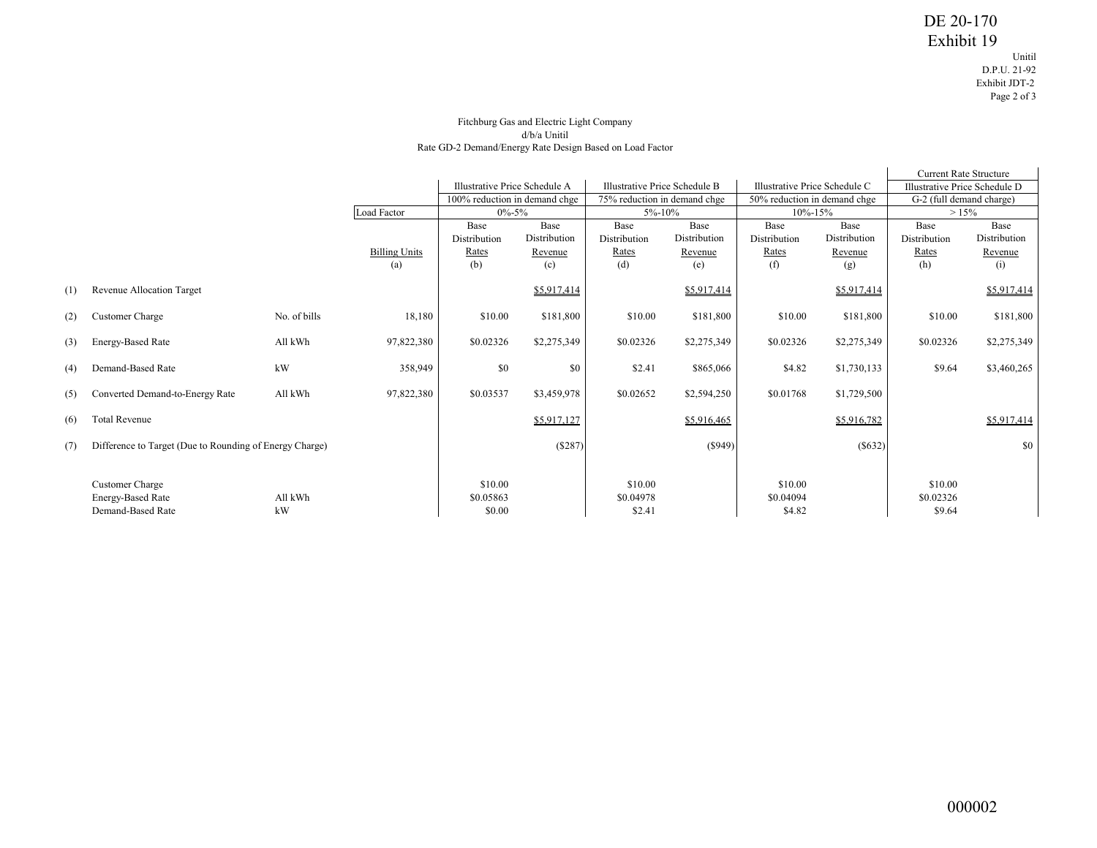## Fitchburg Gas and Electric Light Company d/b/a Unitil Rate GD-2 Demand/Energy Rate Design Based on Load Factor

|     |                                                         |              |                      |                               |              |                               |                              |               | <b>Current Rate Structure</b> |              |                               |  |
|-----|---------------------------------------------------------|--------------|----------------------|-------------------------------|--------------|-------------------------------|------------------------------|---------------|-------------------------------|--------------|-------------------------------|--|
|     |                                                         |              |                      | Illustrative Price Schedule A |              | Illustrative Price Schedule B |                              |               | Illustrative Price Schedule C |              | Illustrative Price Schedule D |  |
|     |                                                         |              |                      | 100% reduction in demand chge |              |                               | 75% reduction in demand chge |               | 50% reduction in demand chge  |              | G-2 (full demand charge)      |  |
|     |                                                         |              | Load Factor          | $0\% - 5\%$                   |              | 5%-10%                        |                              | $10\% - 15\%$ |                               | >15%         |                               |  |
|     |                                                         |              |                      | Base                          | Base         | Base                          | Base                         | Base          | Base                          | Base         | Base                          |  |
|     |                                                         |              |                      | Distribution                  | Distribution | Distribution                  | Distribution                 | Distribution  | Distribution                  | Distribution | Distribution                  |  |
|     |                                                         |              | <b>Billing Units</b> | Rates                         | Revenue      | Rates                         | Revenue                      | Rates         | Revenue                       | Rates        | Revenue                       |  |
|     |                                                         |              | (a)                  | (b)                           | (c)          | (d)                           | (e)                          | (f)           | (g)                           | (h)          | (i)                           |  |
|     |                                                         |              |                      |                               |              |                               |                              |               |                               |              |                               |  |
| (1) | Revenue Allocation Target                               |              |                      |                               | \$5,917,414  |                               | \$5,917,414                  |               | \$5,917,414                   |              | \$5,917,414                   |  |
| (2) | Customer Charge                                         | No. of bills | 18,180               | \$10.00                       | \$181,800    | \$10.00                       | \$181,800                    | \$10.00       | \$181,800                     | \$10.00      | \$181,800                     |  |
| (3) | Energy-Based Rate                                       | All kWh      | 97,822,380           | \$0.02326                     | \$2,275,349  | \$0.02326                     | \$2,275,349                  | \$0.02326     | \$2,275,349                   | \$0.02326    | \$2,275,349                   |  |
| (4) | Demand-Based Rate                                       | kW           | 358,949              | \$0                           | \$0          | \$2.41                        | \$865,066                    | \$4.82        | \$1,730,133                   | \$9.64       | \$3,460,265                   |  |
| (5) | Converted Demand-to-Energy Rate                         | All kWh      | 97,822,380           | \$0.03537                     | \$3,459,978  | \$0.02652                     | \$2,594,250                  | \$0.01768     | \$1,729,500                   |              |                               |  |
| (6) | <b>Total Revenue</b>                                    |              |                      |                               | \$5,917,127  |                               | \$5,916,465                  |               | \$5,916,782                   |              | \$5,917,414                   |  |
| (7) | Difference to Target (Due to Rounding of Energy Charge) |              |                      |                               | (S287)       |                               | $($ \$949)                   |               | (S632)                        |              | \$0                           |  |
|     |                                                         |              |                      |                               |              |                               |                              |               |                               |              |                               |  |
|     | <b>Customer Charge</b>                                  |              |                      | \$10.00                       |              | \$10.00                       |                              | \$10.00       |                               | \$10.00      |                               |  |
|     | Energy-Based Rate                                       | All kWh      |                      | \$0.05863                     |              | \$0.04978                     |                              | \$0.04094     |                               | \$0.02326    |                               |  |
|     | Demand-Based Rate                                       | kW           |                      | \$0.00                        |              | \$2.41                        |                              | \$4.82        |                               | \$9.64       |                               |  |